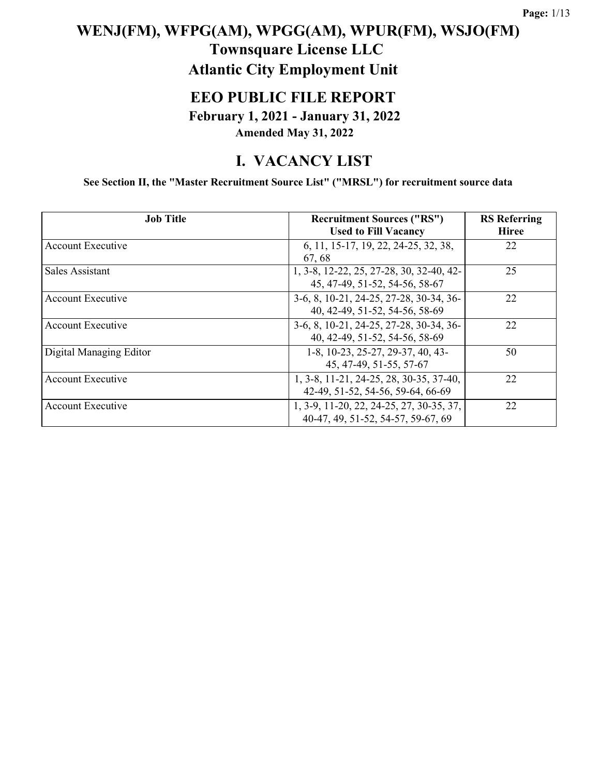### **WENJ(FM), WFPG(AM), WPGG(AM), WPUR(FM), WSJO(FM) Townsquare License LLC Atlantic City Employment Unit**

#### **EEO PUBLIC FILE REPORT**

**February 1, 2021 - January 31, 2022 Amended May 31, 2022**

#### **I. VACANCY LIST**

**See Section II, the "Master Recruitment Source List" ("MRSL") for recruitment source data**

| <b>Job Title</b>         | <b>Recruitment Sources ("RS")</b><br><b>Used to Fill Vacancy</b>               | <b>RS</b> Referring<br><b>Hiree</b> |
|--------------------------|--------------------------------------------------------------------------------|-------------------------------------|
| <b>Account Executive</b> | 6, 11, 15-17, 19, 22, 24-25, 32, 38,<br>67, 68                                 | 22                                  |
| Sales Assistant          | 1, 3-8, 12-22, 25, 27-28, 30, 32-40, 42-<br>45, 47-49, 51-52, 54-56, 58-67     | 25                                  |
| Account Executive        | 3-6, 8, 10-21, 24-25, 27-28, 30-34, 36-<br>40, 42-49, 51-52, 54-56, 58-69      | 22                                  |
| Account Executive        | 3-6, 8, 10-21, 24-25, 27-28, 30-34, 36-<br>40, 42-49, 51-52, 54-56, 58-69      | 22                                  |
| Digital Managing Editor  | 1-8, 10-23, 25-27, 29-37, 40, 43-<br>45, 47-49, 51-55, 57-67                   | 50                                  |
| <b>Account Executive</b> | 1, 3-8, 11-21, 24-25, 28, 30-35, 37-40,<br>42-49, 51-52, 54-56, 59-64, 66-69   | 22                                  |
| Account Executive        | 1, 3-9, 11-20, 22, 24-25, 27, 30-35, 37,<br>40-47, 49, 51-52, 54-57, 59-67, 69 | 22                                  |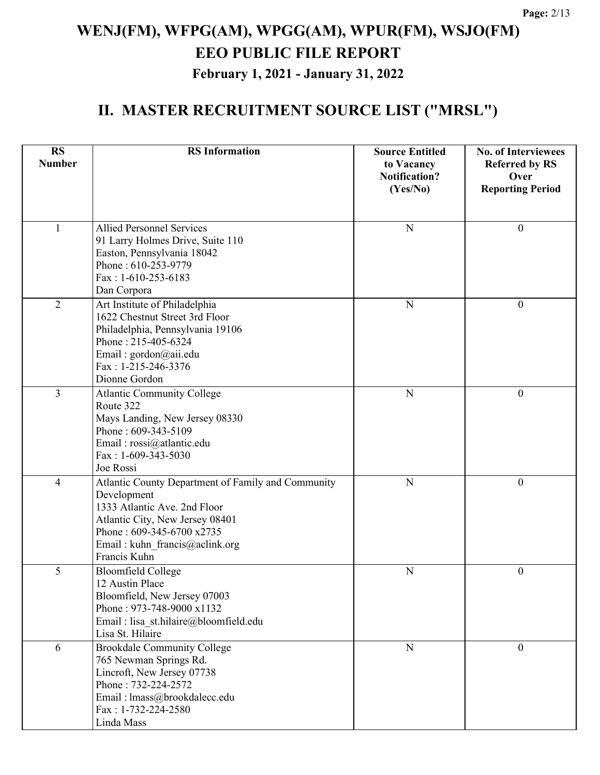| <b>RS</b>                | <b>RS</b> Information                                             | <b>Source Entitled</b>             | <b>No. of Interviewees</b>    |
|--------------------------|-------------------------------------------------------------------|------------------------------------|-------------------------------|
| <b>Number</b>            |                                                                   | to Vacancy<br><b>Notification?</b> | <b>Referred by RS</b><br>Over |
|                          |                                                                   | (Yes/No)                           | <b>Reporting Period</b>       |
|                          |                                                                   |                                    |                               |
| $\mathbf{1}$             | <b>Allied Personnel Services</b>                                  | $\mathbf N$                        | $\boldsymbol{0}$              |
|                          | 91 Larry Holmes Drive, Suite 110                                  |                                    |                               |
|                          | Easton, Pennsylvania 18042                                        |                                    |                               |
|                          | Phone: 610-253-9779                                               |                                    |                               |
|                          | Fax: 1-610-253-6183                                               |                                    |                               |
|                          | Dan Corpora                                                       |                                    |                               |
| $\overline{2}$           | Art Institute of Philadelphia                                     | ${\bf N}$                          | $\boldsymbol{0}$              |
|                          | 1622 Chestnut Street 3rd Floor                                    |                                    |                               |
|                          | Philadelphia, Pennsylvania 19106<br>Phone: 215-405-6324           |                                    |                               |
|                          | Email: gordon@aii.edu                                             |                                    |                               |
|                          | Fax: 1-215-246-3376                                               |                                    |                               |
|                          | Dionne Gordon                                                     |                                    |                               |
| 3                        | <b>Atlantic Community College</b>                                 | $\mathbf N$                        | $\mathbf{0}$                  |
|                          | Route 322                                                         |                                    |                               |
|                          | Mays Landing, New Jersey 08330                                    |                                    |                               |
|                          | Phone: 609-343-5109                                               |                                    |                               |
|                          | Email: rossi@atlantic.edu                                         |                                    |                               |
|                          | Fax: $1-609-343-5030$                                             |                                    |                               |
|                          | Joe Rossi                                                         |                                    |                               |
| $\overline{\mathcal{A}}$ | Atlantic County Department of Family and Community<br>Development | $\mathbf N$                        | $\boldsymbol{0}$              |
|                          | 1333 Atlantic Ave. 2nd Floor                                      |                                    |                               |
|                          | Atlantic City, New Jersey 08401                                   |                                    |                               |
|                          | Phone: 609-345-6700 x2735                                         |                                    |                               |
|                          | Email: kuhn_francis@aclink.org                                    |                                    |                               |
|                          | Francis Kuhn                                                      |                                    |                               |
| 5                        | <b>Bloomfield College</b>                                         | ${\bf N}$                          | $\boldsymbol{0}$              |
|                          | 12 Austin Place                                                   |                                    |                               |
|                          | Bloomfield, New Jersey 07003                                      |                                    |                               |
|                          | Phone: 973-748-9000 x1132                                         |                                    |                               |
|                          | Email : lisa st.hilaire@bloomfield.edu<br>Lisa St. Hilaire        |                                    |                               |
|                          |                                                                   |                                    |                               |
| 6                        | Brookdale Community College<br>765 Newman Springs Rd.             | ${\bf N}$                          | $\theta$                      |
|                          | Lincroft, New Jersey 07738                                        |                                    |                               |
|                          | Phone: 732-224-2572                                               |                                    |                               |
|                          | Email: lmass@brookdalecc.edu                                      |                                    |                               |
|                          | Fax: 1-732-224-2580                                               |                                    |                               |
|                          | Linda Mass                                                        |                                    |                               |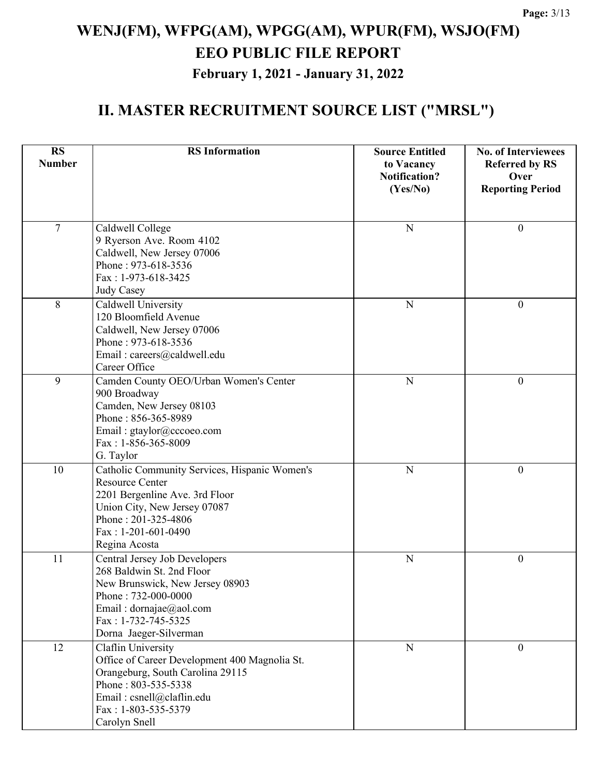| <b>RS</b><br><b>Number</b> | <b>RS</b> Information                                               | <b>Source Entitled</b>                         | <b>No. of Interviewees</b>                               |
|----------------------------|---------------------------------------------------------------------|------------------------------------------------|----------------------------------------------------------|
|                            |                                                                     | to Vacancy<br><b>Notification?</b><br>(Yes/No) | <b>Referred by RS</b><br>Over<br><b>Reporting Period</b> |
|                            |                                                                     |                                                |                                                          |
| $\overline{7}$             | Caldwell College                                                    | N                                              | $\boldsymbol{0}$                                         |
|                            | 9 Ryerson Ave. Room 4102                                            |                                                |                                                          |
|                            | Caldwell, New Jersey 07006<br>Phone: 973-618-3536                   |                                                |                                                          |
|                            | Fax: 1-973-618-3425                                                 |                                                |                                                          |
|                            | Judy Casey                                                          |                                                |                                                          |
| 8                          | Caldwell University                                                 | $\mathbf N$                                    | $\overline{0}$                                           |
|                            | 120 Bloomfield Avenue<br>Caldwell, New Jersey 07006                 |                                                |                                                          |
|                            | Phone: 973-618-3536                                                 |                                                |                                                          |
|                            | Email: careers@caldwell.edu                                         |                                                |                                                          |
|                            | Career Office                                                       |                                                |                                                          |
| 9                          | Camden County OEO/Urban Women's Center<br>900 Broadway              | N                                              | $\boldsymbol{0}$                                         |
|                            | Camden, New Jersey 08103                                            |                                                |                                                          |
|                            | Phone: 856-365-8989                                                 |                                                |                                                          |
|                            | Email: gtaylor@cccoeo.com                                           |                                                |                                                          |
|                            | Fax: 1-856-365-8009<br>G. Taylor                                    |                                                |                                                          |
| 10                         | Catholic Community Services, Hispanic Women's                       | N                                              | $\boldsymbol{0}$                                         |
|                            | <b>Resource Center</b>                                              |                                                |                                                          |
|                            | 2201 Bergenline Ave. 3rd Floor                                      |                                                |                                                          |
|                            | Union City, New Jersey 07087<br>Phone: 201-325-4806                 |                                                |                                                          |
|                            | Fax: 1-201-601-0490                                                 |                                                |                                                          |
|                            | Regina Acosta                                                       |                                                |                                                          |
| 11                         | Central Jersey Job Developers                                       | ${\bf N}$                                      | $\boldsymbol{0}$                                         |
|                            | 268 Baldwin St. 2nd Floor                                           |                                                |                                                          |
|                            | New Brunswick, New Jersey 08903<br>Phone: 732-000-0000              |                                                |                                                          |
|                            | Email: dornajae@aol.com                                             |                                                |                                                          |
|                            | Fax: 1-732-745-5325                                                 |                                                |                                                          |
|                            | Dorna Jaeger-Silverman                                              |                                                |                                                          |
| 12                         | Claflin University<br>Office of Career Development 400 Magnolia St. | ${\bf N}$                                      | $\overline{0}$                                           |
|                            | Orangeburg, South Carolina 29115                                    |                                                |                                                          |
|                            | Phone: 803-535-5338                                                 |                                                |                                                          |
|                            | Email: csnell@claflin.edu                                           |                                                |                                                          |
|                            | Fax: 1-803-535-5379                                                 |                                                |                                                          |
|                            | Carolyn Snell                                                       |                                                |                                                          |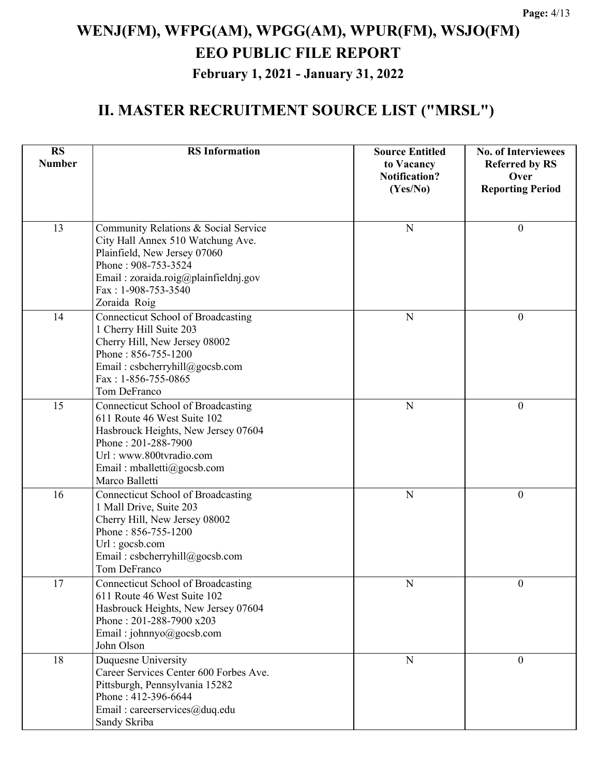| <b>RS</b><br><b>Number</b> | <b>RS</b> Information                                                                                                                                                                                             | <b>Source Entitled</b><br>to Vacancy<br><b>Notification?</b> | <b>No. of Interviewees</b><br><b>Referred by RS</b><br>Over |
|----------------------------|-------------------------------------------------------------------------------------------------------------------------------------------------------------------------------------------------------------------|--------------------------------------------------------------|-------------------------------------------------------------|
|                            |                                                                                                                                                                                                                   | (Yes/No)                                                     | <b>Reporting Period</b>                                     |
| 13                         | Community Relations & Social Service<br>City Hall Annex 510 Watchung Ave.<br>Plainfield, New Jersey 07060<br>Phone: 908-753-3524<br>Email: zoraida.roig@plainfieldnj.gov<br>Fax: 1-908-753-3540<br>Zoraida Roig   | N                                                            | $\mathbf{0}$                                                |
| 14                         | <b>Connecticut School of Broadcasting</b><br>1 Cherry Hill Suite 203<br>Cherry Hill, New Jersey 08002<br>Phone: 856-755-1200<br>Email: csbcherryhill@gocsb.com<br>$Fax: 1-856-755-0865$<br>Tom DeFranco           | N                                                            | $\theta$                                                    |
| 15                         | <b>Connecticut School of Broadcasting</b><br>611 Route 46 West Suite 102<br>Hasbrouck Heights, New Jersey 07604<br>Phone: 201-288-7900<br>Url: www.800tvradio.com<br>Email: mballetti@gocsb.com<br>Marco Balletti | N                                                            | $\theta$                                                    |
| 16                         | <b>Connecticut School of Broadcasting</b><br>1 Mall Drive, Suite 203<br>Cherry Hill, New Jersey 08002<br>Phone: 856-755-1200<br>Url: gocsb.com<br>Email: csbcherryhill@gocsb.com<br>Tom DeFranco                  | N                                                            | $\boldsymbol{0}$                                            |
| 17                         | <b>Connecticut School of Broadcasting</b><br>611 Route 46 West Suite 102<br>Hasbrouck Heights, New Jersey 07604<br>Phone: 201-288-7900 x203<br>Email: johnnyo@gocsb.com<br>John Olson                             | ${\bf N}$                                                    | $\boldsymbol{0}$                                            |
| 18                         | Duquesne University<br>Career Services Center 600 Forbes Ave.<br>Pittsburgh, Pennsylvania 15282<br>Phone: 412-396-6644<br>Email: careerservices@duq.edu<br>Sandy Skriba                                           | N                                                            | $\theta$                                                    |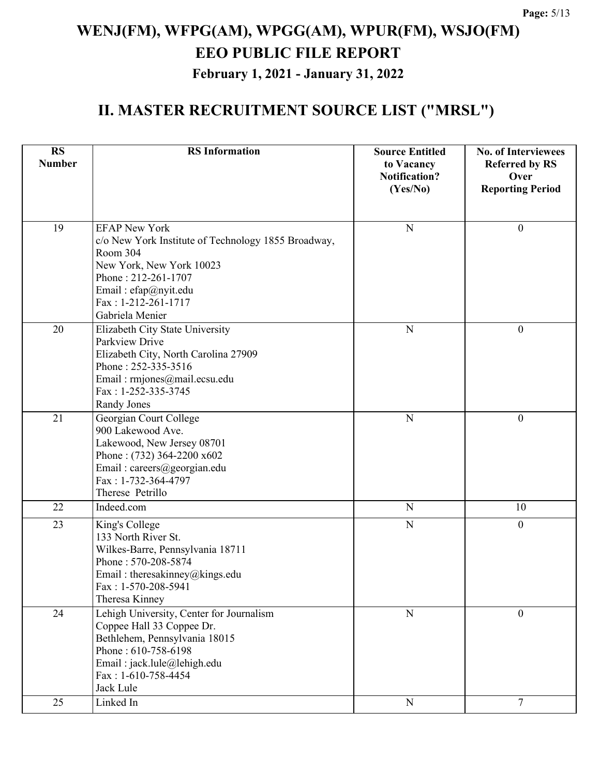| <b>RS</b><br><b>Number</b> | <b>RS</b> Information                                                                                                                                                                                        | <b>Source Entitled</b><br>to Vacancy | <b>No. of Interviewees</b><br><b>Referred by RS</b> |
|----------------------------|--------------------------------------------------------------------------------------------------------------------------------------------------------------------------------------------------------------|--------------------------------------|-----------------------------------------------------|
|                            |                                                                                                                                                                                                              | <b>Notification?</b><br>(Yes/No)     | Over<br><b>Reporting Period</b>                     |
| 19                         | <b>EFAP New York</b><br>c/o New York Institute of Technology 1855 Broadway,<br>Room 304<br>New York, New York 10023<br>Phone: 212-261-1707<br>Email: efap@nyit.edu<br>Fax: 1-212-261-1717<br>Gabriela Menier | N                                    | $\boldsymbol{0}$                                    |
| 20                         | Elizabeth City State University<br>Parkview Drive<br>Elizabeth City, North Carolina 27909<br>Phone: 252-335-3516<br>Email: rmjones@mail.ecsu.edu<br>Fax: 1-252-335-3745<br>Randy Jones                       | ${\bf N}$                            | $\boldsymbol{0}$                                    |
| 21                         | Georgian Court College<br>900 Lakewood Ave.<br>Lakewood, New Jersey 08701<br>Phone: $(732)$ 364-2200 x602<br>Email: careers@georgian.edu<br>Fax: 1-732-364-4797<br>Therese Petrillo                          | $\mathbf N$                          | $\overline{0}$                                      |
| 22                         | Indeed.com                                                                                                                                                                                                   | $\overline{N}$                       | 10                                                  |
| 23                         | King's College<br>133 North River St.<br>Wilkes-Barre, Pennsylvania 18711<br>Phone: 570-208-5874<br>Email: theresakinney@kings.edu<br>$Fax: 1-570-208-5941$<br>Theresa Kinney                                | $\overline{N}$                       | $\overline{0}$                                      |
| 24                         | Lehigh University, Center for Journalism<br>Coppee Hall 33 Coppee Dr.<br>Bethlehem, Pennsylvania 18015<br>Phone: 610-758-6198<br>Email: jack.lule@lehigh.edu<br>$Fax: 1-610-758-4454$<br>Jack Lule           | ${\bf N}$                            | $\overline{0}$                                      |
| 25                         | Linked In                                                                                                                                                                                                    | ${\bf N}$                            | $\overline{7}$                                      |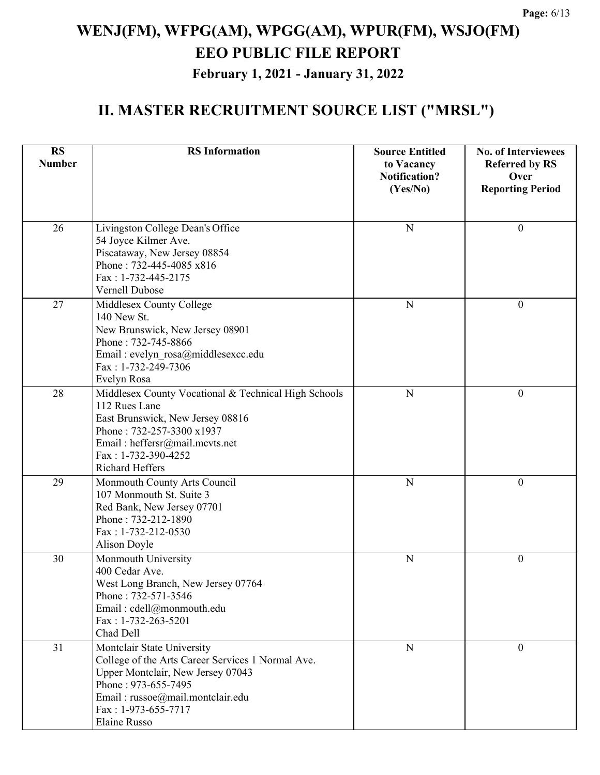| <b>RS</b><br><b>Number</b> | <b>RS</b> Information                                                                                                                                                                                                  | <b>Source Entitled</b><br>to Vacancy<br><b>Notification?</b><br>(Yes/No) | <b>No. of Interviewees</b><br><b>Referred by RS</b><br>Over<br><b>Reporting Period</b> |
|----------------------------|------------------------------------------------------------------------------------------------------------------------------------------------------------------------------------------------------------------------|--------------------------------------------------------------------------|----------------------------------------------------------------------------------------|
| 26                         | Livingston College Dean's Office<br>54 Joyce Kilmer Ave.<br>Piscataway, New Jersey 08854<br>Phone: 732-445-4085 x816<br>Fax: 1-732-445-2175<br>Vernell Dubose                                                          | $\mathbf N$                                                              | $\boldsymbol{0}$                                                                       |
| 27                         | Middlesex County College<br>140 New St.<br>New Brunswick, New Jersey 08901<br>Phone: 732-745-8866<br>Email : evelyn rosa@middlesexcc.edu<br>Fax: 1-732-249-7306<br>Evelyn Rosa                                         | $\mathbf N$                                                              | $\theta$                                                                               |
| 28                         | Middlesex County Vocational & Technical High Schools<br>112 Rues Lane<br>East Brunswick, New Jersey 08816<br>Phone: 732-257-3300 x1937<br>Email: heffersr@mail.mcvts.net<br>Fax: 1-732-390-4252<br>Richard Heffers     | N                                                                        | $\overline{0}$                                                                         |
| 29                         | Monmouth County Arts Council<br>107 Monmouth St. Suite 3<br>Red Bank, New Jersey 07701<br>Phone: 732-212-1890<br>Fax: 1-732-212-0530<br>Alison Doyle                                                                   | $\mathbf N$                                                              | $\boldsymbol{0}$                                                                       |
| 30                         | Monmouth University<br>400 Cedar Ave.<br>West Long Branch, New Jersey 07764<br>Phone: 732-571-3546<br>Email: cdell@monmouth.edu<br>Fax: 1-732-263-5201<br>Chad Dell                                                    | $\mathbf N$                                                              | $\boldsymbol{0}$                                                                       |
| 31                         | Montclair State University<br>College of the Arts Career Services 1 Normal Ave.<br>Upper Montclair, New Jersey 07043<br>Phone: 973-655-7495<br>Email: russoe@mail.montclair.edu<br>Fax: 1-973-655-7717<br>Elaine Russo | ${\bf N}$                                                                | $\overline{0}$                                                                         |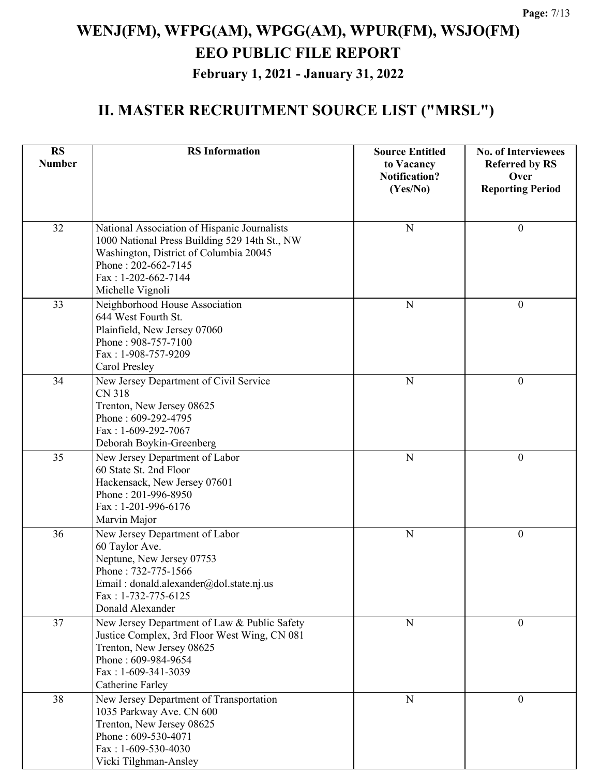| <b>RS</b>     | <b>RS</b> Information                                                                                                                                                                                       | <b>Source Entitled</b>             | <b>No. of Interviewees</b>    |
|---------------|-------------------------------------------------------------------------------------------------------------------------------------------------------------------------------------------------------------|------------------------------------|-------------------------------|
| <b>Number</b> |                                                                                                                                                                                                             | to Vacancy<br><b>Notification?</b> | <b>Referred by RS</b><br>Over |
|               |                                                                                                                                                                                                             | (Yes/No)                           | <b>Reporting Period</b>       |
|               |                                                                                                                                                                                                             |                                    |                               |
| 32            | National Association of Hispanic Journalists<br>1000 National Press Building 529 14th St., NW<br>Washington, District of Columbia 20045<br>Phone: 202-662-7145<br>$Fax: 1-202-662-7144$<br>Michelle Vignoli | N                                  | $\mathbf{0}$                  |
| 33            | Neighborhood House Association<br>644 West Fourth St.<br>Plainfield, New Jersey 07060<br>Phone: 908-757-7100<br>Fax: 1-908-757-9209<br>Carol Presley                                                        | N                                  | $\theta$                      |
| 34            | New Jersey Department of Civil Service<br><b>CN 318</b><br>Trenton, New Jersey 08625<br>Phone: 609-292-4795<br>Fax: 1-609-292-7067<br>Deborah Boykin-Greenberg                                              | $\mathbf N$                        | $\mathbf{0}$                  |
| 35            | New Jersey Department of Labor<br>60 State St. 2nd Floor<br>Hackensack, New Jersey 07601<br>Phone: 201-996-8950<br>Fax: 1-201-996-6176<br>Marvin Major                                                      | N                                  | $\boldsymbol{0}$              |
| 36            | New Jersey Department of Labor<br>60 Taylor Ave.<br>Neptune, New Jersey 07753<br>Phone: 732-775-1566<br>Email: donald.alexander@dol.state.nj.us<br>Fax: 1-732-775-6125<br>Donald Alexander                  | $\mathbf N$                        | $\boldsymbol{0}$              |
| 37            | New Jersey Department of Law & Public Safety<br>Justice Complex, 3rd Floor West Wing, CN 081<br>Trenton, New Jersey 08625<br>Phone: 609-984-9654<br>$Fax: 1-609-341-3039$<br>Catherine Farley               | ${\bf N}$                          | $\mathbf{0}$                  |
| 38            | New Jersey Department of Transportation<br>1035 Parkway Ave. CN 600<br>Trenton, New Jersey 08625<br>Phone: 609-530-4071<br>Fax: 1-609-530-4030<br>Vicki Tilghman-Ansley                                     | ${\bf N}$                          | $\mathbf{0}$                  |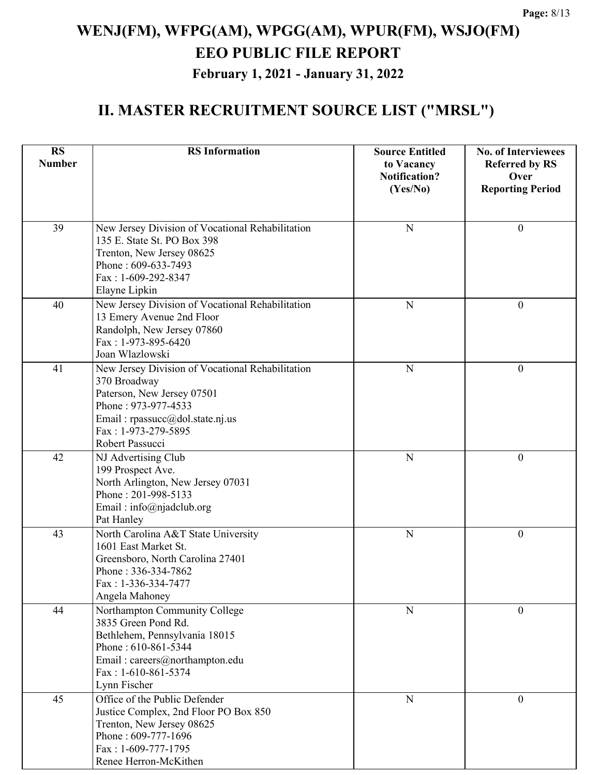| <b>RS</b><br><b>Number</b> | <b>RS</b> Information                                                                                                                                                                                       | <b>Source Entitled</b><br>to Vacancy | <b>No. of Interviewees</b><br><b>Referred by RS</b> |
|----------------------------|-------------------------------------------------------------------------------------------------------------------------------------------------------------------------------------------------------------|--------------------------------------|-----------------------------------------------------|
|                            |                                                                                                                                                                                                             | <b>Notification?</b><br>(Yes/No)     | Over<br><b>Reporting Period</b>                     |
| 39                         | New Jersey Division of Vocational Rehabilitation<br>135 E. State St. PO Box 398<br>Trenton, New Jersey 08625<br>Phone: 609-633-7493<br>Fax: 1-609-292-8347<br>Elayne Lipkin                                 | $\mathbf N$                          | $\boldsymbol{0}$                                    |
| 40                         | New Jersey Division of Vocational Rehabilitation<br>13 Emery Avenue 2nd Floor<br>Randolph, New Jersey 07860<br>Fax: 1-973-895-6420<br>Joan Wlazlowski                                                       | N                                    | $\boldsymbol{0}$                                    |
| 41                         | New Jersey Division of Vocational Rehabilitation<br>370 Broadway<br>Paterson, New Jersey 07501<br>Phone: 973-977-4533<br>Email: $r$ passucc $(a)$ dol.state.nj.us<br>Fax: 1-973-279-5895<br>Robert Passucci | $\mathbf N$                          | $\boldsymbol{0}$                                    |
| 42                         | NJ Advertising Club<br>199 Prospect Ave.<br>North Arlington, New Jersey 07031<br>Phone: 201-998-5133<br>Email: info@njadclub.org<br>Pat Hanley                                                              | $\mathbf N$                          | $\boldsymbol{0}$                                    |
| 43                         | North Carolina A&T State University<br>1601 East Market St.<br>Greensboro, North Carolina 27401<br>Phone: 336-334-7862<br>Fax: 1-336-334-7477<br>Angela Mahoney                                             | N                                    | $\theta$                                            |
| 44                         | Northampton Community College<br>3835 Green Pond Rd.<br>Bethlehem, Pennsylvania 18015<br>Phone: 610-861-5344<br>Email: careers@northampton.edu<br>$Fax: 1-610-861-5374$<br>Lynn Fischer                     | N                                    | $\theta$                                            |
| 45                         | Office of the Public Defender<br>Justice Complex, 2nd Floor PO Box 850<br>Trenton, New Jersey 08625<br>Phone: 609-777-1696<br>Fax: 1-609-777-1795<br>Renee Herron-McKithen                                  | $\mathbf N$                          | $\theta$                                            |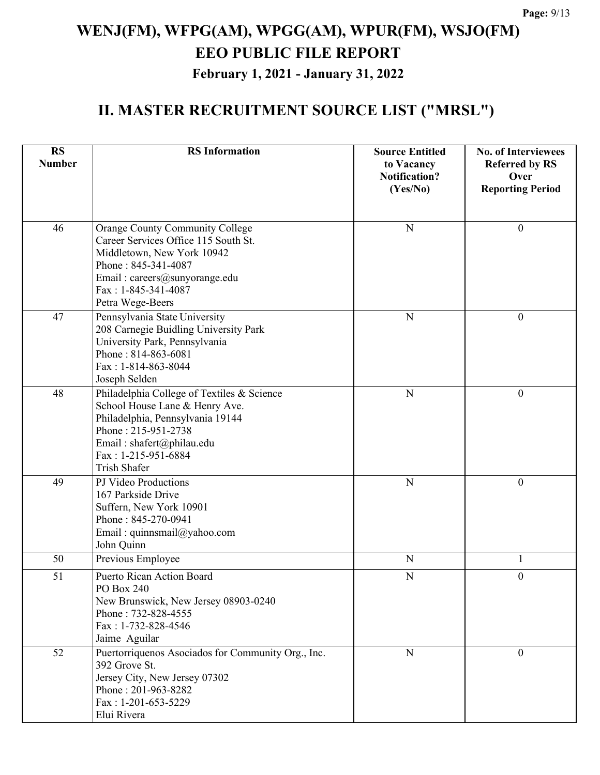| <b>RS</b><br><b>Number</b> | <b>RS</b> Information                                                                                                                                                                                              | <b>Source Entitled</b><br>to Vacancy<br><b>Notification?</b><br>(Yes/No) | <b>No. of Interviewees</b><br><b>Referred by RS</b><br>Over<br><b>Reporting Period</b> |
|----------------------------|--------------------------------------------------------------------------------------------------------------------------------------------------------------------------------------------------------------------|--------------------------------------------------------------------------|----------------------------------------------------------------------------------------|
| 46                         | <b>Orange County Community College</b><br>Career Services Office 115 South St.<br>Middletown, New York 10942<br>Phone: 845-341-4087<br>Email: careers@sunyorange.edu<br>Fax: 1-845-341-4087<br>Petra Wege-Beers    | ${\bf N}$                                                                | $\boldsymbol{0}$                                                                       |
| 47                         | Pennsylvania State University<br>208 Carnegie Buidling University Park<br>University Park, Pennsylvania<br>Phone: 814-863-6081<br>Fax: 1-814-863-8044<br>Joseph Selden                                             | ${\bf N}$                                                                | $\boldsymbol{0}$                                                                       |
| 48                         | Philadelphia College of Textiles & Science<br>School House Lane & Henry Ave.<br>Philadelphia, Pennsylvania 19144<br>Phone: 215-951-2738<br>Email: shafert@philau.edu<br>Fax: 1-215-951-6884<br><b>Trish Shafer</b> | N                                                                        | $\theta$                                                                               |
| 49                         | PJ Video Productions<br>167 Parkside Drive<br>Suffern, New York 10901<br>Phone: 845-270-0941<br>Email: quinnsmail@yahoo.com<br>John Quinn                                                                          | ${\bf N}$                                                                | $\boldsymbol{0}$                                                                       |
| 50                         | Previous Employee                                                                                                                                                                                                  | ${\bf N}$                                                                | 1                                                                                      |
| 51                         | <b>Puerto Rican Action Board</b><br>PO Box 240<br>New Brunswick, New Jersey 08903-0240<br>Phone: 732-828-4555<br>Fax: 1-732-828-4546<br>Jaime Aguilar                                                              | ${\bf N}$                                                                | $\boldsymbol{0}$                                                                       |
| 52                         | Puertorriquenos Asociados for Community Org., Inc.<br>392 Grove St.<br>Jersey City, New Jersey 07302<br>Phone: 201-963-8282<br>$Fax: 1-201-653-5229$<br>Elui Rivera                                                | ${\bf N}$                                                                | $\Omega$                                                                               |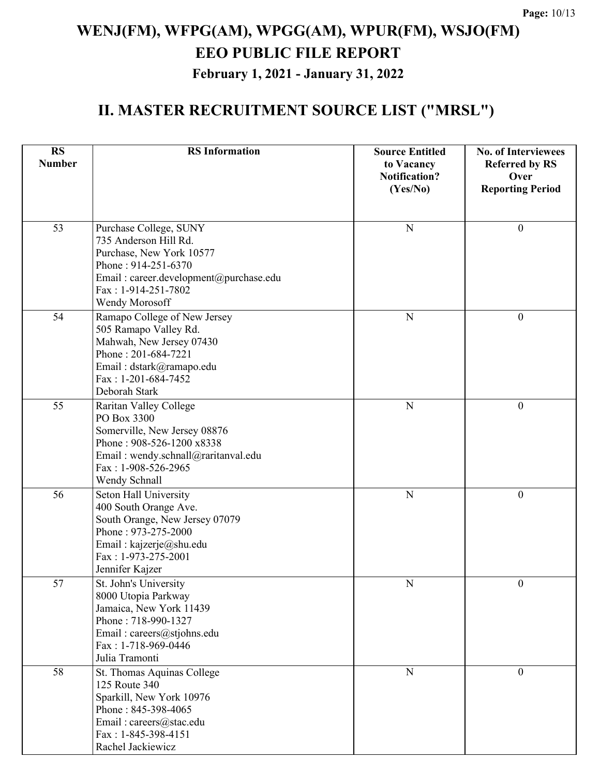| <b>RS</b><br><b>Number</b> | <b>RS</b> Information                                         | <b>Source Entitled</b><br>to Vacancy<br><b>Notification?</b> | <b>No. of Interviewees</b><br><b>Referred by RS</b><br>Over |
|----------------------------|---------------------------------------------------------------|--------------------------------------------------------------|-------------------------------------------------------------|
|                            |                                                               | (Yes/No)                                                     | <b>Reporting Period</b>                                     |
|                            |                                                               |                                                              |                                                             |
| 53                         | Purchase College, SUNY<br>735 Anderson Hill Rd.               | N                                                            | $\boldsymbol{0}$                                            |
|                            | Purchase, New York 10577                                      |                                                              |                                                             |
|                            | Phone: 914-251-6370                                           |                                                              |                                                             |
|                            | Email: career.development@purchase.edu<br>Fax: 1-914-251-7802 |                                                              |                                                             |
|                            | Wendy Morosoff                                                |                                                              |                                                             |
| 54                         | Ramapo College of New Jersey                                  | N                                                            | $\theta$                                                    |
|                            | 505 Ramapo Valley Rd.                                         |                                                              |                                                             |
|                            | Mahwah, New Jersey 07430                                      |                                                              |                                                             |
|                            | Phone: 201-684-7221<br>Email: dstark@ramapo.edu               |                                                              |                                                             |
|                            | Fax: 1-201-684-7452                                           |                                                              |                                                             |
|                            | Deborah Stark                                                 |                                                              |                                                             |
| 55                         | Raritan Valley College                                        | N                                                            | $\mathbf{0}$                                                |
|                            | PO Box 3300                                                   |                                                              |                                                             |
|                            | Somerville, New Jersey 08876<br>Phone: 908-526-1200 x8338     |                                                              |                                                             |
|                            | Email: wendy.schnall@raritanval.edu                           |                                                              |                                                             |
|                            | Fax: 1-908-526-2965                                           |                                                              |                                                             |
|                            | Wendy Schnall                                                 |                                                              |                                                             |
| 56                         | Seton Hall University                                         | N                                                            | $\boldsymbol{0}$                                            |
|                            | 400 South Orange Ave.<br>South Orange, New Jersey 07079       |                                                              |                                                             |
|                            | Phone: 973-275-2000                                           |                                                              |                                                             |
|                            | Email: kajzerje@shu.edu                                       |                                                              |                                                             |
|                            | Fax: 1-973-275-2001                                           |                                                              |                                                             |
|                            | Jennifer Kajzer                                               |                                                              |                                                             |
| 57                         | St. John's University<br>8000 Utopia Parkway                  | $\mathbf N$                                                  | $\bf{0}$                                                    |
|                            | Jamaica, New York 11439                                       |                                                              |                                                             |
|                            | Phone: 718-990-1327                                           |                                                              |                                                             |
|                            | Email: careers@stjohns.edu                                    |                                                              |                                                             |
|                            | Fax: 1-718-969-0446<br>Julia Tramonti                         |                                                              |                                                             |
| 58                         | St. Thomas Aquinas College                                    | N                                                            | $\mathbf{0}$                                                |
|                            | 125 Route 340                                                 |                                                              |                                                             |
|                            | Sparkill, New York 10976                                      |                                                              |                                                             |
|                            | Phone: 845-398-4065                                           |                                                              |                                                             |
|                            | Email: careers@stac.edu<br>Fax: 1-845-398-4151                |                                                              |                                                             |
|                            | Rachel Jackiewicz                                             |                                                              |                                                             |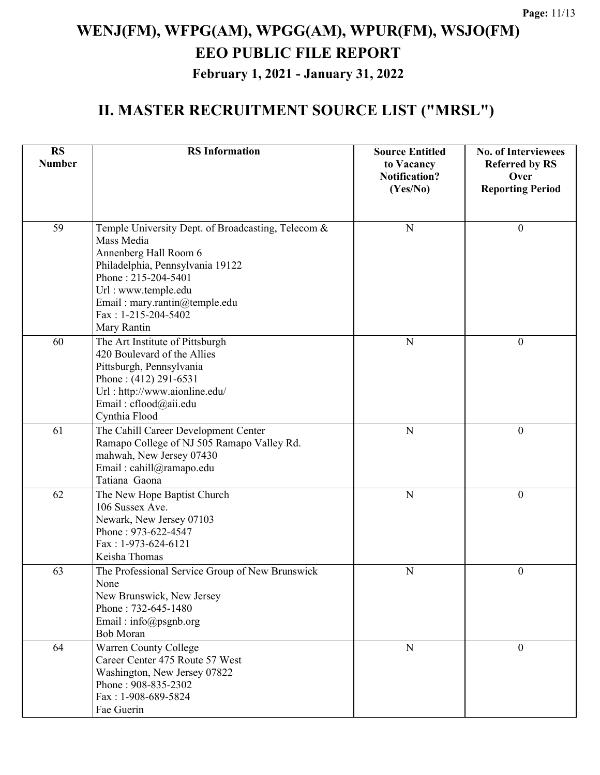| <b>RS</b><br><b>Number</b> | <b>RS</b> Information                                                                                                                                                                                                                              | <b>Source Entitled</b><br>to Vacancy<br><b>Notification?</b><br>(Yes/No) | <b>No. of Interviewees</b><br><b>Referred by RS</b><br>Over<br><b>Reporting Period</b> |
|----------------------------|----------------------------------------------------------------------------------------------------------------------------------------------------------------------------------------------------------------------------------------------------|--------------------------------------------------------------------------|----------------------------------------------------------------------------------------|
| 59                         | Temple University Dept. of Broadcasting, Telecom &<br>Mass Media<br>Annenberg Hall Room 6<br>Philadelphia, Pennsylvania 19122<br>Phone: 215-204-5401<br>Url: www.temple.edu<br>Email: mary.rantin@temple.edu<br>Fax: 1-215-204-5402<br>Mary Rantin | ${\bf N}$                                                                | $\boldsymbol{0}$                                                                       |
| 60                         | The Art Institute of Pittsburgh<br>420 Boulevard of the Allies<br>Pittsburgh, Pennsylvania<br>Phone: $(412)$ 291-6531<br>Url: http://www.aionline.edu/<br>Email: cflood@aii.edu<br>Cynthia Flood                                                   | ${\bf N}$                                                                | $\boldsymbol{0}$                                                                       |
| 61                         | The Cahill Career Development Center<br>Ramapo College of NJ 505 Ramapo Valley Rd.<br>mahwah, New Jersey 07430<br>Email: cahill@ramapo.edu<br>Tatiana Gaona                                                                                        | $\overline{N}$                                                           | $\boldsymbol{0}$                                                                       |
| 62                         | The New Hope Baptist Church<br>106 Sussex Ave.<br>Newark, New Jersey 07103<br>Phone: 973-622-4547<br>Fax: 1-973-624-6121<br>Keisha Thomas                                                                                                          | ${\bf N}$                                                                | $\boldsymbol{0}$                                                                       |
| 63                         | The Professional Service Group of New Brunswick<br>None<br>New Brunswick, New Jersey<br>Phone: 732-645-1480<br>Email: info@psgnb.org<br><b>Bob Moran</b>                                                                                           | $\mathbf N$                                                              | $\overline{0}$                                                                         |
| 64                         | Warren County College<br>Career Center 475 Route 57 West<br>Washington, New Jersey 07822<br>Phone: 908-835-2302<br>Fax: 1-908-689-5824<br>Fae Guerin                                                                                               | $\mathbf N$                                                              | $\mathbf{0}$                                                                           |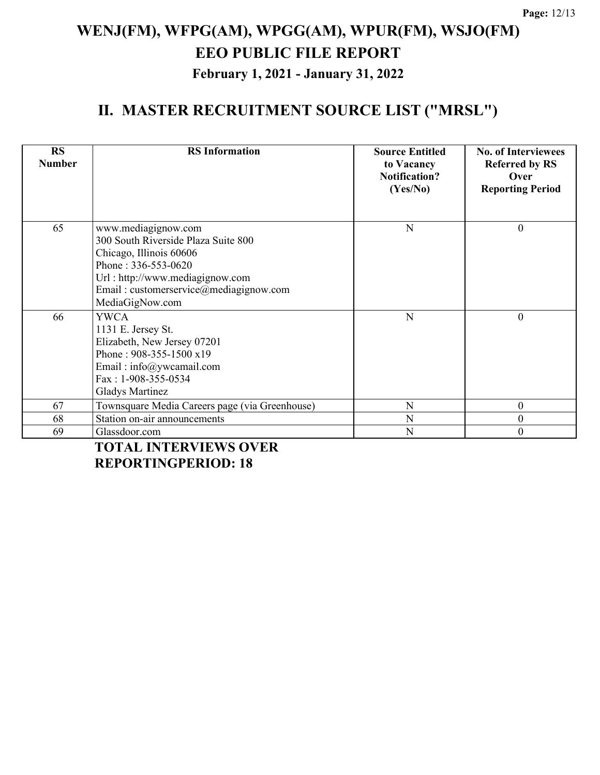### **II. MASTER RECRUITMENT SOURCE LIST ("MRSL")**

| <b>RS</b><br><b>Number</b> | <b>RS</b> Information                                                                                                                                                                                        | <b>Source Entitled</b><br>to Vacancy<br><b>Notification?</b><br>(Yes/No) | <b>No. of Interviewees</b><br><b>Referred by RS</b><br>Over<br><b>Reporting Period</b> |
|----------------------------|--------------------------------------------------------------------------------------------------------------------------------------------------------------------------------------------------------------|--------------------------------------------------------------------------|----------------------------------------------------------------------------------------|
| 65                         | www.mediagignow.com<br>300 South Riverside Plaza Suite 800<br>Chicago, Illinois 60606<br>Phone: 336-553-0620<br>Url: http://www.mediagignow.com<br>Email: customerservice@mediagignow.com<br>MediaGigNow.com | N                                                                        | $\theta$                                                                               |
| 66                         | <b>YWCA</b><br>1131 E. Jersey St.<br>Elizabeth, New Jersey 07201<br>Phone: 908-355-1500 x19<br>Email: $info@ywcamail.com$<br>$Fax: 1-908-355-0534$<br><b>Gladys Martinez</b>                                 | N                                                                        | $\theta$                                                                               |
| 67                         | Townsquare Media Careers page (via Greenhouse)                                                                                                                                                               | N                                                                        | $\theta$                                                                               |
| 68                         | Station on-air announcements                                                                                                                                                                                 | N                                                                        | $\boldsymbol{0}$                                                                       |
| 69                         | Glassdoor.com                                                                                                                                                                                                | N                                                                        | $\theta$                                                                               |

**TOTAL INTERVIEWS OVER REPORTINGPERIOD: 18**